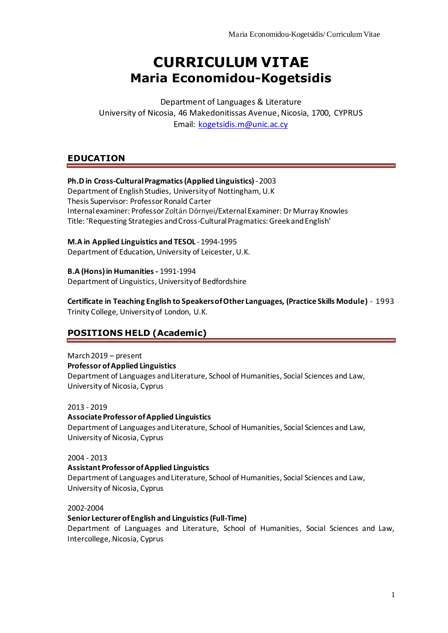# **CURRICULUM VITAE Maria Economidou-Kogetsidis**

Department of Languages & Literature University of Nicosia, 46 Makedonitissas Avenue, Nicosia, 1700, CYPRUS Email: [kogetsidis.m@unic.ac.cy](mailto:kogetsidis.m@unic.ac.cy)

### **EDUCATION**

### **Ph.D in Cross-Cultural Pragmatics (Applied Linguistics) - 2003**

Department of English Studies, University of Nottingham, U.K Thesis Supervisor: Professor Ronald Carter Internal examiner: Professor Zoltán Dörnyei/External Examiner: Dr Murray Knowles Title: 'Requesting Strategies and Cross-Cultural Pragmatics: Greek and English'

**M.A in Applied Linguistics and TESOL** -1994-1995 Department of Education, University of Leicester, U.K.

**B.A (Hons) in Humanities -** 1991-1994 Department of Linguistics, University of Bedfordshire

**Certificate in Teaching English to Speakers of Other Languages, (Practice Skills Module)** - 1993 Trinity College, University of London, U.K.

# **POSITIONS HELD (Academic)**

March 2019 – present **Professor of Applied Linguistics** Department of Languages and Literature, School of Humanities, Social Sciences and Law, University of Nicosia, Cyprus

2013 - 2019

**Associate Professor of Applied Linguistics** Department of Languages and Literature, School of Humanities, Social Sciences and Law, University of Nicosia, Cyprus

2004 - 2013 **Assistant Professor of Applied Linguistics** Department of Languages and Literature, School of Humanities, Social Sciences and Law, University of Nicosia, Cyprus

2002-2004

### **Senior Lecturer of English and Linguistics (Full-Time)**

Department of Languages and Literature, School of Humanities, Social Sciences and Law, Intercollege, Nicosia, Cyprus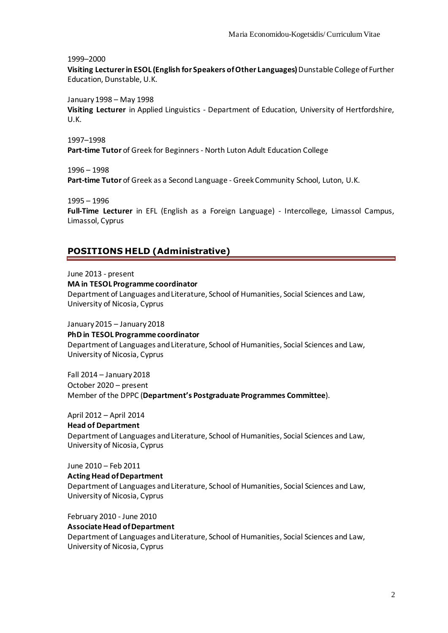1999–2000

**Visiting Lecturer in ESOL (English for Speakers of Other Languages)** Dunstable College of Further Education, Dunstable, U.K.

January1998 – May 1998

**Visiting Lecturer** in Applied Linguistics - Department of Education, University of Hertfordshire, U.K.

1997–1998 **Part-time Tutor** of Greek for Beginners - North Luton Adult Education College

1996 – 1998

**Part-time Tutor** of Greek as a Second Language - Greek Community School, Luton, U.K.

1995 – 1996

**Full-Time Lecturer** in EFL (English as a Foreign Language) - Intercollege, Limassol Campus, Limassol, Cyprus

#### **POSITIONS HELD (Administrative)**

June 2013 - present

**MA in TESOL Programme coordinator**

Department of Languages and Literature, School of Humanities, Social Sciences and Law, University of Nicosia, Cyprus

January 2015 – January 2018 **PhD in TESOL Programme coordinator** Department of Languages and Literature, School of Humanities, Social Sciences and Law, University of Nicosia, Cyprus

Fall 2014 – January 2018 October 2020 – present Member of the DPPC (**Department's Postgraduate Programmes Committee**).

April 2012 – April 2014 **Head of Department** Department of Languages and Literature, School of Humanities, Social Sciences and Law, University of Nicosia, Cyprus

June 2010 – Feb 2011

**Acting Head of Department** Department of Languages and Literature, School of Humanities, Social Sciences and Law, University of Nicosia, Cyprus

February 2010 - June 2010

**Associate Head of Department** Department of Languages and Literature, School of Humanities, Social Sciences and Law, University of Nicosia, Cyprus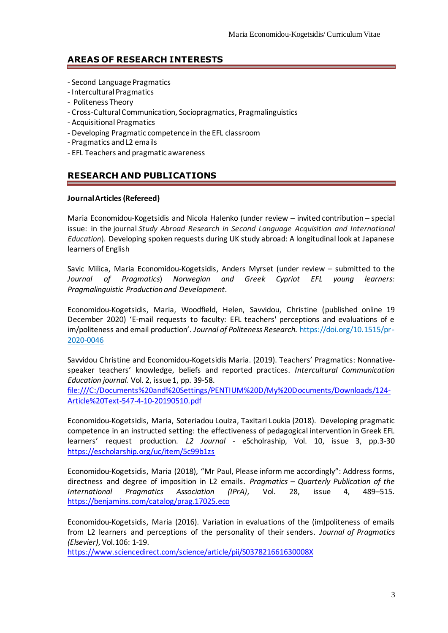### **AREAS OF RESEARCH INTERESTS**

- Second Language Pragmatics
- Intercultural Pragmatics
- Politeness Theory
- Cross-Cultural Communication, Sociopragmatics, Pragmalinguistics
- Acquisitional Pragmatics
- Developing Pragmatic competence in the EFL classroom
- Pragmatics and L2 emails
- EFL Teachers and pragmatic awareness

# **RESEARCH AND PUBLICATIONS**

#### **Journal Articles(Refereed)**

Maria Economidou-Kogetsidis and Nicola Halenko (under review – invited contribution – special issue: in the journal *Study Abroad Research in Second Language Acquisition and International Education*). Developing spoken requests during UK study abroad: A longitudinal look at Japanese learners of English

Savic Milica, Maria Economidou-Kogetsidis, Anders Myrset (under review – submitted to the *Journal of Pragmatics*) *Norwegian and Greek Cypriot EFL young learners: Pragmalinguistic Production and Development*.

Economidou-Kogetsidis, Maria, Woodfield, Helen, Savvidou, Christine (published online 19 December 2020) 'E-mail requests to faculty: EFL teachers' perceptions and evaluations of e im/politeness and email production'. *Journal of Politeness Research.* [https://doi.org/10.1515/pr-](https://doi.org/10.1515/pr-2020-0046)[2020-0046](https://doi.org/10.1515/pr-2020-0046)

Savvidou Christine and Economidou-Kogetsidis Maria. (2019). Teachers' Pragmatics: Nonnativespeaker teachers' knowledge, beliefs and reported practices. *Intercultural Communication Education journal.* Vol. 2, issue 1, pp. 39-58.

[file:///C:/Documents%20and%20Settings/PENTIUM%20D/My%20Documents/Downloads/124-](../../../Documents%20and%20Settings/PENTIUM%20D/My%20Documents/Downloads/124-Article%20Text-547-4-10-20190510.pdf) [Article%20Text-547-4-10-20190510.pdf](../../../Documents%20and%20Settings/PENTIUM%20D/My%20Documents/Downloads/124-Article%20Text-547-4-10-20190510.pdf)

Economidou-Kogetsidis, Maria, Soteriadou Louiza, Taxitari Loukia (2018). Developing pragmatic competence in an instructed setting: the effectiveness of pedagogical intervention in Greek EFL learners' request production. *L2 Journal -* eScholraship, Vol. 10, issue 3, pp.3-30 <https://escholarship.org/uc/item/5c99b1zs>

Economidou-Kogetsidis, Maria (2018), "Mr Paul, Please inform me accordingly": Address forms, directness and degree of imposition in L2 emails. *Pragmatics – Quarterly Publication of the International Pragmatics Association (IPrA)*, Vol. 28, issue 4, 489–515. <https://benjamins.com/catalog/prag.17025.eco>

Economidou-Kogetsidis, Maria (2016). Variation in evaluations of the (im)politeness of emails from L2 learners and perceptions of the personality of their senders. *Journal of Pragmatics (Elsevier)*, Vol.106: 1-19.

<https://www.sciencedirect.com/science/article/pii/S037821661630008X>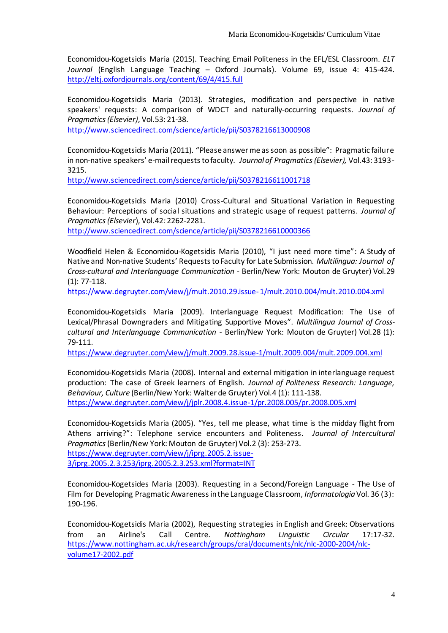Economidou-Kogetsidis Maria (2015). Teaching Email Politeness in the EFL/ESL Classroom. *ELT Journal* (English Language Teaching – Oxford Journals). Volume 69, issue 4: 415-424. <http://eltj.oxfordjournals.org/content/69/4/415.full>

Economidou-Kogetsidis Maria (2013). Strategies, modification and perspective in native speakers' requests: A comparison of WDCT and naturally-occurring requests. *Journal of Pragmatics (Elsevier)*, Vol.53: 21-38.

<http://www.sciencedirect.com/science/article/pii/S0378216613000908>

Economidou-Kogetsidis Maria (2011). "Please answer me as soon as possible": Pragmatic failure in non-native speakers' e-mail requests to faculty. *Journal of Pragmatics (Elsevier),* Vol.43: 3193- 3215.

<http://www.sciencedirect.com/science/article/pii/S0378216611001718>

Economidou-Kogetsidis Maria (2010) Cross-Cultural and Situational Variation in Requesting Behaviour: Perceptions of social situations and strategic usage of request patterns. *Journal of Pragmatics (Elsevier*), Vol.42*:* 2262-2281.

<http://www.sciencedirect.com/science/article/pii/S0378216610000366>

Woodfield Helen & Economidou-Kogetsidis Maria (2010), "I just need more time": A Study of Native and Non-native Students' Requests to Faculty for Late Submission. *Multilingua: Journal of Cross-cultural and Interlanguage Communication* - Berlin/New York: Mouton de Gruyter) Vol.29 (1): 77-118.

[https://www.degruyter.com/view/j/mult.2010.29.issue-1/mult.2010.004/mult.2010.004.xml](https://www.degruyter.com/view/j/mult.2010.29.issue-%201/mult.2010.004/mult.2010.004.xml)

Economidou-Kogetsidis Maria (2009). Interlanguage Request Modification: The Use of Lexical/Phrasal Downgraders and Mitigating Supportive Moves". *Multilingua Journal of Crosscultural and Interlanguage Communication* - Berlin/New York: Mouton de Gruyter) Vol.28 (1): 79-111.

<https://www.degruyter.com/view/j/mult.2009.28.issue-1/mult.2009.004/mult.2009.004.xml>

Economidou-Kogetsidis Maria (2008). Internal and external mitigation in interlanguage request production: The case of Greek learners of English. *Journal of Politeness Research: Language, Behaviour, Culture* (Berlin/New York: Walter de Gruyter) Vol.4 (1): 111-138. <https://www.degruyter.com/view/j/jplr.2008.4.issue-1/pr.2008.005/pr.2008.005.xml>

Economidou-Kogetsidis Maria (2005)*.* "Yes, tell me please, what time is the midday flight from Athens arriving?": Telephone service encounters and Politeness. *Journal of Intercultural Pragmatics*(Berlin/New York: Mouton de Gruyter) Vol.2 (3): 253-273. [https://www.degruyter.com/view/j/iprg.2005.2.issue-](https://www.degruyter.com/view/j/iprg.2005.2.issue-3/iprg.2005.2.3.253/iprg.2005.2.3.253.xml?format=INT)[3/iprg.2005.2.3.253/iprg.2005.2.3.253.xml?format=INT](https://www.degruyter.com/view/j/iprg.2005.2.issue-3/iprg.2005.2.3.253/iprg.2005.2.3.253.xml?format=INT)

Economidou-Kogetsides Maria (2003). Requesting in a Second/Foreign Language - The Use of Film for Developing Pragmatic Awareness in the Language Classroom, *Informatologia* Vol. 36 (3): 190-196.

Economidou-Kogetsidis Maria (2002), Requesting strategies in English and Greek: Observations from an Airline's Call Centre. *Nottingham Linguistic Circular* 17:17-32. [https://www.nottingham.ac.uk/research/groups/cral/documents/nlc/nlc-2000-2004/nlc](https://www.nottingham.ac.uk/research/groups/cral/documents/nlc/nlc-2000-2004/nlc-volume17-2002.pdf)[volume17-2002.pdf](https://www.nottingham.ac.uk/research/groups/cral/documents/nlc/nlc-2000-2004/nlc-volume17-2002.pdf)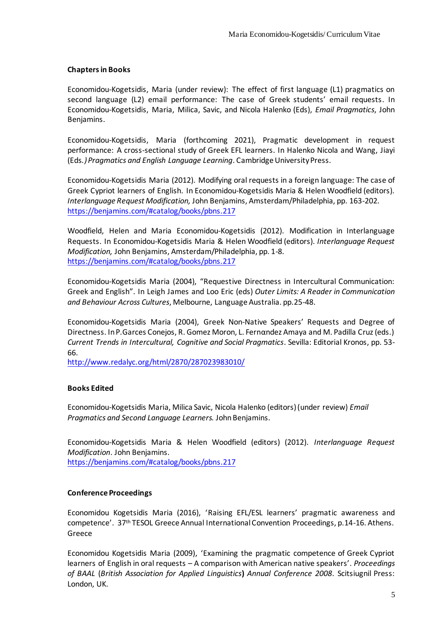#### **Chapters in Books**

Economidou-Kogetsidis, Maria (under review): The effect of first language (L1) pragmatics on second language (L2) email performance: The case of Greek students' email requests. In Economidou-Kogetsidis, Maria, Milica, Savic, and Nicola Halenko (Eds), *Email Pragmatics*, John Benjamins.

Economidou-Kogetsidis, Maria (forthcoming 2021), Pragmatic development in request performance: A cross-sectional study of Greek EFL learners. In Halenko Nicola and Wang, Jiayi (Eds*.) Pragmatics and English Language Learning*. Cambridge University Press.

Economidou-Kogetsidis Maria (2012). Modifying oral requests in a foreign language: The case of Greek Cypriot learners of English. In Economidou-Kogetsidis Maria & Helen Woodfield (editors). *Interlanguage Request Modification,* John Benjamins, Amsterdam/Philadelphia, pp. 163-202. <https://benjamins.com/#catalog/books/pbns.217>

Woodfield, Helen and Maria Economidou-Kogetsidis (2012). Modification in Interlanguage Requests. In Economidou-Kogetsidis Maria & Helen Woodfield (editors). *Interlanguage Request Modification,* John Benjamins, Amsterdam/Philadelphia, pp. 1-8. <https://benjamins.com/#catalog/books/pbns.217>

Economidou-Kogetsidis Maria (2004), "Requestive Directness in Intercultural Communication: Greek and English". In Leigh James and Loo Eric (eds) *Outer Limits: A Reader in Communication and Behaviour Across Cultures*, Melbourne, Language Australia. pp.25-48.

Economidou-Kogetsidis Maria (2004), Greek Non-Native Speakers' Requests and Degree of Directness. In P.Garces Conejos, R. Gomez Moron, L. Fernαndez Amaya and M. Padilla Cruz (eds.) *Current Trends in Intercultural, Cognitive and Social Pragmatics*. Sevilla: Editorial Kronos, pp. 53- 66.

<http://www.redalyc.org/html/2870/287023983010/>

### **Books Edited**

Economidou-Kogetsidis Maria, Milica Savic, Nicola Halenko (editors) (under review) *Email Pragmatics and Second Language Learners.* John Benjamins.

Economidou-Kogetsidis Maria & Helen Woodfield (editors) (2012). *Interlanguage Request Modification*. John Benjamins. <https://benjamins.com/#catalog/books/pbns.217>

#### **Conference Proceedings**

Economidou Kogetsidis Maria (2016), 'Raising EFL/ESL learners' pragmatic awareness and competence'. 37th TESOL Greece Annual International Convention Proceedings, p.14-16. Athens. Greece

Economidou Kogetsidis Maria (2009), 'Examining the pragmatic competence of Greek Cypriot learners of English in oral requests – A comparison with American native speakers'. *Proceedings of BAAL* (*British Association for Applied Linguistics***)** *Annual Conference 2008*. Scitsiugnil Press: London, UK.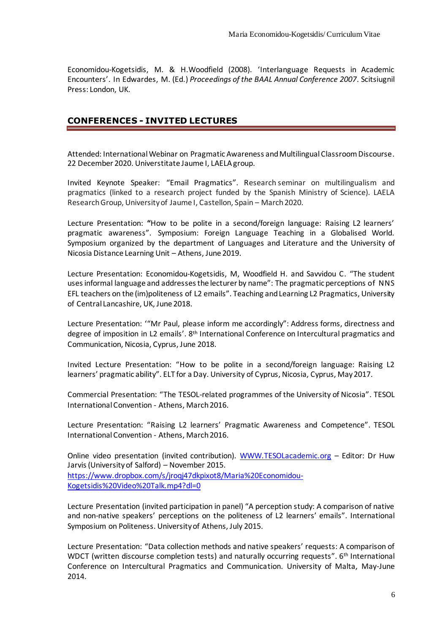Economidou-Kogetsidis, M. & H.Woodfield (2008). 'Interlanguage Requests in Academic Encounters'. In Edwardes, M. (Ed.) *Proceedings of the BAAL Annual Conference 2007*. Scitsiugnil Press: London, UK.

### **CONFERENCES - INVITED LECTURES**

Attended: International Webinar on Pragmatic Awareness and Multilingual Classroom Discourse. 22 December 2020. Universtitate Jaume I, LAELA group.

Invited Keynote Speaker: "Email Pragmatics". Research seminar on multilingualism and pragmatics (linked to a research project funded by the Spanish Ministry of Science). LAELA Research Group, University of Jaume I, Castellon, Spain – March 2020.

Lecture Presentation: **"**How to be polite in a second/foreign language: Raising L2 learners' pragmatic awareness". Symposium: Foreign Language Teaching in a Globalised World. Symposium organized by the department of Languages and Literature and the University of Nicosia Distance Learning Unit – Athens, June 2019.

Lecture Presentation: Economidou-Kogetsidis, M, Woodfield H. and Savvidou C. "The student uses informal language and addresses the lecturer by name": The pragmatic perceptions of NNS EFL teachers on the (im)politeness of L2 emails". Teaching and Learning L2 Pragmatics, University of Central Lancashire, UK, June 2018.

Lecture Presentation: '"Mr Paul, please inform me accordingly": Address forms, directness and degree of imposition in L2 emails'. 8th International Conference on Intercultural pragmatics and Communication, Nicosia, Cyprus, June 2018.

Invited Lecture Presentation: "How to be polite in a second/foreign language: Raising L2 learners' pragmatic ability". ELT for a Day. University of Cyprus, Nicosia, Cyprus, May 2017.

Commercial Presentation: "The TESOL-related programmes of the University of Nicosia". TESOL International Convention - Athens, March 2016.

Lecture Presentation: "Raising L2 learners' Pragmatic Awareness and Competence". TESOL International Convention - Athens, March 2016.

Online video presentation (invited contribution). [WWW.TESOLacademic.org](http://www.tesolacademic.org/) – Editor: Dr Huw Jarvis (University of Salford) – November 2015. [https://www.dropbox.com/s/jroqj47dkpixot8/Maria%20Economidou-](https://legacy.unic.ac.cy/exchweb/bin/redir.asp?URL=https://www.dropbox.com/s/jroqj47dkpixot8/Maria%2520Economidou-Kogetsidis%2520Video%2520Talk.mp4?dl=0)[Kogetsidis%20Video%20Talk.mp4?dl=0](https://legacy.unic.ac.cy/exchweb/bin/redir.asp?URL=https://www.dropbox.com/s/jroqj47dkpixot8/Maria%2520Economidou-Kogetsidis%2520Video%2520Talk.mp4?dl=0)

Lecture Presentation (invited participation in panel) "A perception study: A comparison of native and non-native speakers' perceptions on the politeness of L2 learners' emails". International Symposium on Politeness. University of Athens, July 2015.

Lecture Presentation: "Data collection methods and native speakers' requests: A comparison of WDCT (written discourse completion tests) and naturally occurring requests". 6<sup>th</sup> International Conference on Intercultural Pragmatics and Communication. University of Malta, May-June 2014.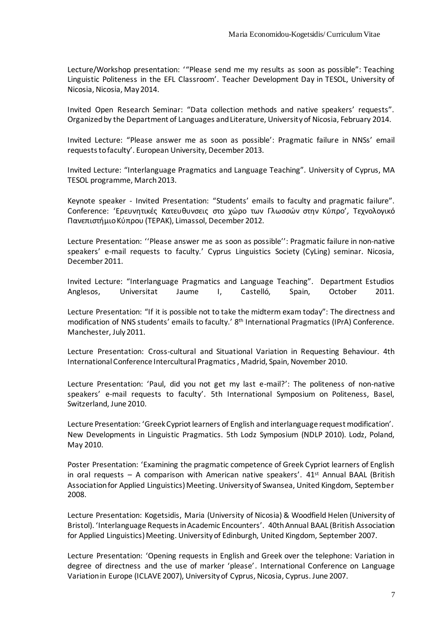Lecture/Workshop presentation: '"Please send me my results as soon as possible": Teaching Linguistic Politeness in the EFL Classroom'. Teacher Development Day in TESOL, University of Nicosia, Nicosia, May 2014.

Invited Open Research Seminar: "Data collection methods and native speakers' requests". Organized by the Department of Languages and Literature, University of Nicosia, February 2014.

Invited Lecture: "Please answer me as soon as possible': Pragmatic failure in NNSs' email requests to faculty'. European University, December 2013.

Invited Lecture: "Interlanguage Pragmatics and Language Teaching". University of Cyprus, MA TESOL programme, March 2013.

Keynote speaker - Invited Presentation: "Students' emails to faculty and pragmatic failure". Conference: 'Ερευνητικές Κατευθυνσεις στο χώρο των Γλωσσών στην Κύπρο'*,* Τεχνολογικό Πανεπιστήμιο Κύπρου (TEPAK), Limassol, December 2012.

Lecture Presentation: ''Please answer me as soon as possible'': Pragmatic failure in non-native speakers' e-mail requests to faculty.' Cyprus Linguistics Society (CyLing) seminar. Nicosia, December 2011.

Invited Lecture: "Interlanguage Pragmatics and Language Teaching". Department Estudios Anglesos, Universitat Jaume I, Castelló, Spain, October 2011.

Lecture Presentation: "If it is possible not to take the midterm exam today": The directness and modification of NNS students' emails to faculty.' 8<sup>th</sup> International Pragmatics (IPrA) Conference. Manchester, July 2011.

Lecture Presentation: Cross-cultural and Situational Variation in Requesting Behaviour. 4th International Conference Intercultural Pragmatics , Madrid, Spain, November 2010.

Lecture Presentation: 'Paul, did you not get my last e-mail?': The politeness of non-native speakers' e-mail requests to faculty'. 5th International Symposium on Politeness, Basel, Switzerland, June 2010.

Lecture Presentation: 'Greek Cypriot learners of English and interlanguage request modification'. New Developments in Linguistic Pragmatics. 5th Lodz Symposium (NDLP 2010). Lodz, Poland, May 2010.

Poster Presentation: 'Examining the pragmatic competence of Greek Cypriot learners of English in oral requests – A comparison with American native speakers'.  $41^{st}$  Annual BAAL (British Association for Applied Linguistics) Meeting. University of Swansea, United Kingdom, September 2008.

Lecture Presentation: Kogetsidis, Maria (University of Nicosia) & Woodfield Helen (University of Bristol). 'Interlanguage Requests in Academic Encounters'. 40th Annual BAAL (British Association for Applied Linguistics) Meeting. University of Edinburgh, United Kingdom, September 2007.

Lecture Presentation: 'Opening requests in English and Greek over the telephone: Variation in degree of directness and the use of marker 'please'. International Conference on Language Variation in Europe (ICLAVE 2007), University of Cyprus, Nicosia, Cyprus. June 2007.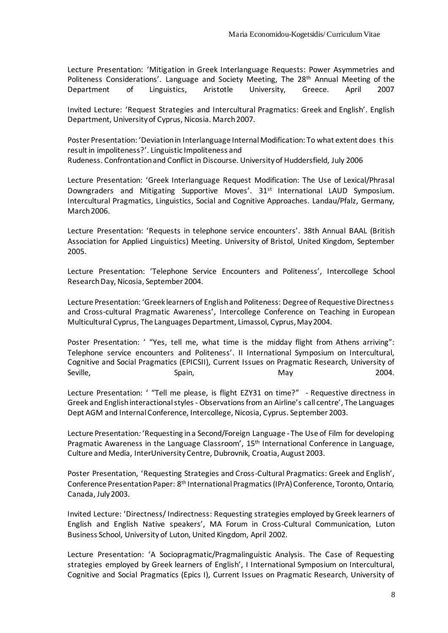Lecture Presentation: 'Mitigation in Greek Interlanguage Requests: Power Asymmetries and Politeness Considerations'. Language and Society Meeting, The 28<sup>th</sup> Annual Meeting of the Department of Linguistics, Aristotle University, Greece. April 2007

Invited Lecture: 'Request Strategies and Intercultural Pragmatics: Greek and English'. English Department, University of Cyprus, Nicosia. March 2007.

Poster Presentation: 'Deviation in Interlanguage Internal Modification: To what extent does this result in impoliteness?'. Linguistic Impoliteness and Rudeness. Confrontation and Conflict in Discourse. University of Huddersfield, July 2006

Lecture Presentation: 'Greek Interlanguage Request Modification: The Use of Lexical/Phrasal Downgraders and Mitigating Supportive Moves'. 31<sup>st</sup> International LAUD Symposium. Intercultural Pragmatics, Linguistics, Social and Cognitive Approaches. Landau/Pfalz, Germany, March 2006.

Lecture Presentation: 'Requests in telephone service encounters'. 38th Annual BAAL (British Association for Applied Linguistics) Meeting. University of Bristol, United Kingdom, September 2005.

Lecture Presentation: 'Telephone Service Encounters and Politeness', Intercollege School Research Day, Nicosia, September 2004.

Lecture Presentation: 'Greek learners of English and Politeness: Degree of Requestive Directness and Cross-cultural Pragmatic Awareness', Intercollege Conference on Teaching in European Multicultural Cyprus, The Languages Department, Limassol, Cyprus, May 2004.

Poster Presentation: ' "Yes, tell me, what time is the midday flight from Athens arriving": Telephone service encounters and Politeness'. II International Symposium on Intercultural, Cognitive and Social Pragmatics (EPICSII), Current Issues on Pragmatic Research, University of Seville, Seville, Spain, Seville, Seville, Seville, Seville, Seville, Seville, Seville, Seville, Seville, Sevi

Lecture Presentation: ' "Tell me please, is flight EZY31 on time?" - Requestive directness in Greek and English interactional styles - Observations from an Airline's call centre', The Languages Dept AGM and Internal Conference, Intercollege, Nicosia, Cyprus. September 2003.

Lecture Presentation*:* 'Requesting in a Second/Foreign Language - The Use of Film for developing Pragmatic Awareness in the Language Classroom', 15<sup>th</sup> International Conference in Language, Culture and Media, InterUniversity Centre, Dubrovnik, Croatia, August 2003.

Poster Presentation, 'Requesting Strategies and Cross-Cultural Pragmatics: Greek and English', Conference Presentation Paper: 8th International Pragmatics (IPrA) Conference, Toronto, Ontario, Canada, July 2003.

Invited Lecture: 'Directness/ Indirectness: Requesting strategies employed by Greek learners of English and English Native speakers', MA Forum in Cross-Cultural Communication, Luton Business School, University of Luton, United Kingdom, April 2002.

Lecture Presentation: 'A Sociopragmatic/Pragmalinguistic Analysis. The Case of Requesting strategies employed by Greek learners of English', I International Symposium on Intercultural, Cognitive and Social Pragmatics (Epics I), Current Issues on Pragmatic Research, University of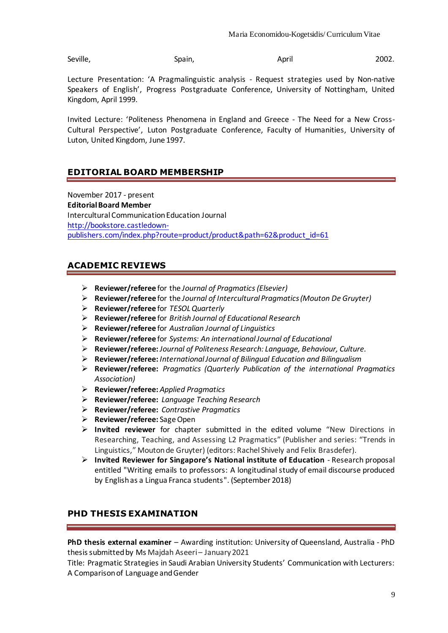Seville, Seville, Spain, Seville, Seville, Seville, Seville, Seville, Seville, Seville, Seville, Seville, Sevi

Lecture Presentation: 'A Pragmalinguistic analysis - Request strategies used by Non-native Speakers of English', Progress Postgraduate Conference, University of Nottingham, United Kingdom, April 1999.

Invited Lecture: 'Politeness Phenomena in England and Greece - The Need for a New Cross-Cultural Perspective', Luton Postgraduate Conference, Faculty of Humanities, University of Luton, United Kingdom, June 1997.

# **EDITORIAL BOARD MEMBERSHIP**

November 2017 - present **Editorial Board Member**  Intercultural Communication Education Journal [http://bookstore.castledown](http://bookstore.castledown-publishers.com/index.php?route=product/product&path=62&product_id=61)[publishers.com/index.php?route=product/product&path=62&product\\_id=61](http://bookstore.castledown-publishers.com/index.php?route=product/product&path=62&product_id=61)

### **ACADEMIC REVIEWS**

- ➢ **Reviewer/referee** for the *Journal of Pragmatics (Elsevier)*
- ➢ **Reviewer/referee** for the *Journal of Intercultural Pragmatics(Mouton De Gruyter)*
- ➢ **Reviewer/referee** for *TESOL Quarterly*
- ➢ **Reviewer/referee** for *British Journal of Educational Research*
- ➢ **Reviewer/referee** for *Australian Journal of Linguistics*
- ➢ **Reviewer/referee** for *Systems: An internationalJournal of Educational*
- ➢ **Reviewer/referee:** *Journal of Politeness Research: Language, Behaviour, Culture.*
- ➢ **Reviewer/referee:** *International Journal of Bilingual Education and Bilingualism*
- ➢ **Reviewer/referee:** *Pragmatics (Quarterly Publication of the international Pragmatics Association)*
- ➢ **Reviewer/referee:** *Applied Pragmatics*
- ➢ **Reviewer/referee:** *Language Teaching Research*
- ➢ **Reviewer/referee:** *Contrastive Pragmatics*
- ➢ **Reviewer/referee:** Sage Open
- ➢ **Invited reviewer** for chapter submitted in the edited volume "New Directions in Researching, Teaching, and Assessing L2 Pragmatics" (Publisher and series: "Trends in Linguistics," Moutonde Gruyter) (editors: Rachel Shively and Felix Brasdefer).
- ➢ **Invited Reviewer for Singapore's National institute of Education**  Research proposal entitled "Writing emails to professors: A longitudinal study of email discourse produced by English as a Lingua Franca students". (September 2018)

### **PHD THESIS EXAMINATION**

**PhD thesis external examiner** – Awarding institution: University of Queensland, Australia - PhD thesis submitted by Ms Majdah Aseeri – January2021

Title: Pragmatic Strategies in Saudi Arabian University Students' Communication with Lecturers: A Comparison of Language and Gender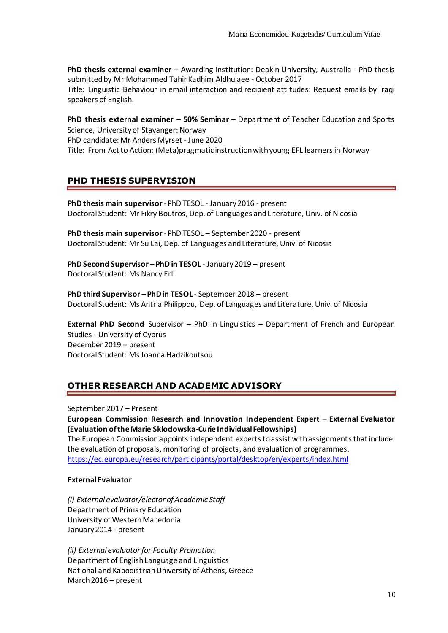**PhD thesis external examiner** – Awarding institution: Deakin University, Australia - PhD thesis submitted by Mr Mohammed Tahir Kadhim Aldhulaee - October 2017 Title: Linguistic Behaviour in email interaction and recipient attitudes: Request emails by Iraqi speakers of English.

**PhD thesis external examiner – 50% Seminar** – Department of Teacher Education and Sports Science, University of Stavanger: Norway PhD candidate: Mr Anders Myrset - June 2020 Title: From Act to Action: (Meta)pragmatic instruction with young EFL learners in Norway

### **PHD THESIS SUPERVISION**

**PhD thesis main supervisor**-PhD TESOL - January 2016 - present Doctoral Student: Mr Fikry Boutros, Dep. of Languages and Literature, Univ. of Nicosia

**PhD thesis main supervisor**-PhD TESOL – September 2020 - present Doctoral Student: Mr Su Lai, Dep. of Languages and Literature, Univ. of Nicosia

**PhD Second Supervisor – PhD in TESOL** - January 2019 – present Doctoral Student: Ms Nancy Erli

**PhD third Supervisor – PhD in TESOL** - September 2018 – present Doctoral Student: Ms Antria Philippou, Dep. of Languages and Literature, Univ. of Nicosia

**External PhD Second** Supervisor – PhD in Linguistics – Department of French and European Studies - University of Cyprus December 2019 – present Doctoral Student: Ms Joanna Hadzikoutsou

### **OTHER RESEARCH AND ACADEMIC ADVISORY**

September 2017 – Present

**European Commission Research and Innovation Independent Expert – External Evaluator (Evaluation of the Marie Sklodowska-Curie Individual Fellowships)**

The European Commission appoints independent experts to assist with assignments that include the evaluation of proposals, monitoring of projects, and evaluation of programmes. <https://ec.europa.eu/research/participants/portal/desktop/en/experts/index.html>

#### **External Evaluator**

*(i) External evaluator/elector of Academic Staff* Department of Primary Education University of Western Macedonia January 2014 - present

*(ii) External evaluator for Faculty Promotion* Department of English Language and Linguistics National and Kapodistrian University of Athens, Greece March 2016 – present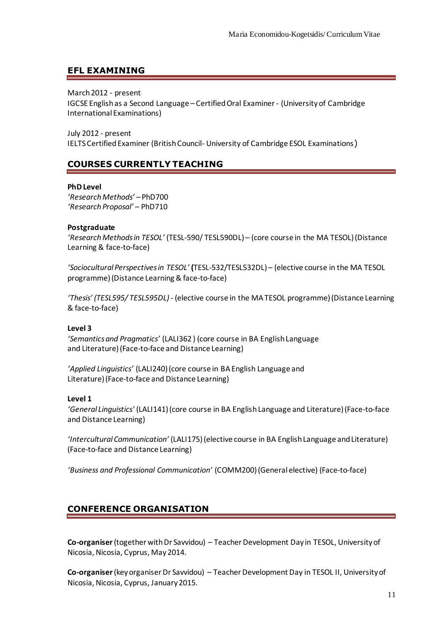### **EFL EXAMINING**

March 2012 - present

IGCSE English as a Second Language – Certified Oral Examiner- (University of Cambridge International Examinations)

July 2012 - present IELTS Certified Examiner (British Council- University of Cambridge ESOL Examinations)

### **COURSES CURRENTLY TEACHING**

#### **PhD Level**

*'Research Methods' –* PhD700 *'Research Proposal'* – PhD710

#### **Postgraduate**

*'Research Methods in TESOL'* (TESL-590/ TESL590DL) – (core course in the MA TESOL) (Distance Learning & face-to-face)

*'Sociocultural Perspectives in TESOL'* **(**TESL-532/TESL532DL) – (elective course in the MA TESOL programme) (Distance Learning & face-to-face)

*'Thesis' (TESL595/ TESL595DL)*- (elective course in the MA TESOL programme) (Distance Learning & face-to-face)

#### **Level 3**

*'Semantics and Pragmatics'* (LALI362 ) (core course in BA English Language and Literature) (Face-to-face and Distance Learning)

*'Applied Linguistics'* (LALI240) (core course in BA English Language and Literature) (Face-to-face and Distance Learning)

#### **Level 1**

*'General Linguistics'* (LALI141) (core course in BA English Language and Literature) (Face-to-face and Distance Learning)

*'Intercultural Communication'* (LALI175) (elective course in BA English Language and Literature) (Face-to-face and Distance Learning)

*'Business and Professional Communication'* (COMM200) (General elective) (Face-to-face)

### **CONFERENCE ORGANISATION**

**Co-organiser**(together with Dr Savvidou) – Teacher Development Day in TESOL, University of Nicosia, Nicosia, Cyprus, May 2014.

**Co-organiser**(key organiser Dr Savvidou) – Teacher Development Day in TESOL II, University of Nicosia, Nicosia, Cyprus, January 2015.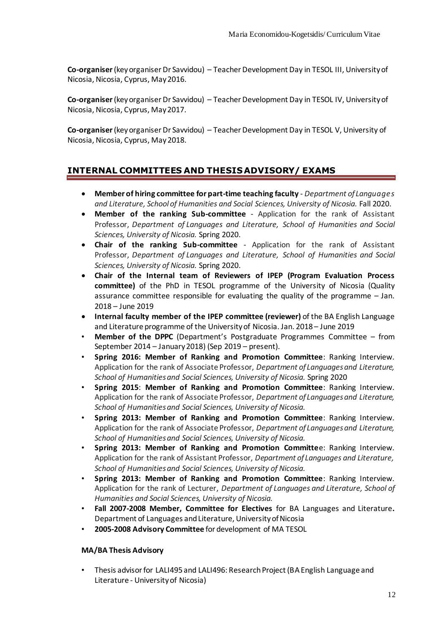**Co-organiser**(key organiser Dr Savvidou) – Teacher Development Day in TESOL III, University of Nicosia, Nicosia, Cyprus, May 2016.

**Co-organiser**(key organiser Dr Savvidou) – Teacher Development Day in TESOL IV, University of Nicosia, Nicosia, Cyprus, May 2017.

**Co-organiser**(key organiser Dr Savvidou) – Teacher Development Day in TESOL V, University of Nicosia, Nicosia, Cyprus, May 2018.

### **INTERNAL COMMITTEES AND THESIS ADVISORY/ EXAMS**

- **Member of hiring committee for part-time teaching faculty** *Department of Languages and Literature, School of Humanities and Social Sciences, University of Nicosia.* Fall 2020.
- **Member of the ranking Sub-committee** Application for the rank of Assistant Professor, *Department of Languages and Literature, School of Humanities and Social Sciences, University of Nicosia.* Spring 2020.
- **Chair of the ranking Sub-committee** Application for the rank of Assistant Professor, *Department of Languages and Literature, School of Humanities and Social Sciences, University of Nicosia.* Spring 2020.
- **Chair of the Internal team of Reviewers of IPEP (Program Evaluation Process committee)** of the PhD in TESOL programme of the University of Nicosia (Quality assurance committee responsible for evaluating the quality of the programme – Jan. 2018 – June 2019
- **Internal faculty member of the IPEP committee (reviewer)** of the BA English Language and Literature programme of the University of Nicosia. Jan. 2018 – June 2019
- **Member of the DPPC** (Department's Postgraduate Programmes Committee from September 2014 – January 2018) (Sep 2019 – present).
- **Spring 2016: Member of Ranking and Promotion Committee**: Ranking Interview. Application for the rank of Associate Professor, *Department of Languagesand Literature, School of Humanitiesand Social Sciences, University of Nicosia.* Spring 2020
- **Spring 2015**: **Member of Ranking and Promotion Committee**: Ranking Interview. Application for the rank of Associate Professor, *Department of Languagesand Literature, School of Humanitiesand Social Sciences, University of Nicosia.*
- **Spring 2013: Member of Ranking and Promotion Committee**: Ranking Interview. Application for the rank of Associate Professor, *Department of Languagesand Literature, School of Humanitiesand Social Sciences, University of Nicosia.*
- **Spring 2013: Member of Ranking and Promotion Committe**e: Ranking Interview. Application for the rank of Assistant Professor, *Department of Languages and Literature, School of Humanitiesand Social Sciences, University of Nicosia.*
- **Spring 2013: Member of Ranking and Promotion Committee**: Ranking Interview. Application for the rank of Lecturer, *Department of Languages and Literature, School of Humanities and Social Sciences, University of Nicosia.*
- **Fall 2007-2008 Member, Committee for Electives** for BA Languages and Literature**.** Department of Languages and Literature, University of Nicosia
- **2005-2008 Advisory Committee** for development of MA TESOL

#### **MA/BA Thesis Advisory**

• Thesis advisor for LALI495 and LALI496: Research Project (BA English Language and Literature - University of Nicosia)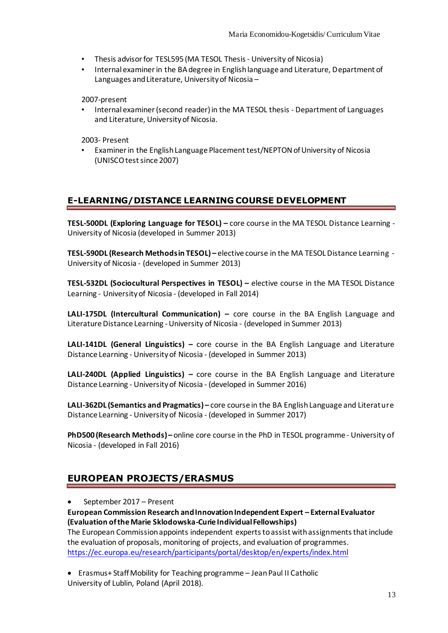- Thesis advisor for TESL595 (MA TESOL Thesis University of Nicosia)
- Internal examiner in the BA degree in English language and Literature, Department of Languages and Literature, University of Nicosia –

2007-present

• Internal examiner (second reader) in the MA TESOL thesis - Department of Languages and Literature, University of Nicosia.

2003- Present

• Examiner in the English Language Placement test/NEPTON of University of Nicosia (UNISCO test since 2007)

### **E-LEARNING/DISTANCE LEARNING COURSE DEVELOPMENT**

**TESL-500DL (Exploring Language for TESOL) –** core course in the MA TESOL Distance Learning - University of Nicosia (developed in Summer 2013)

**TESL-590DL (Research Methods in TESOL) –** elective course in the MA TESOL Distance Learning - University of Nicosia - (developed in Summer 2013)

**TESL-532DL (Sociocultural Perspectives in TESOL) –** elective course in the MA TESOL Distance Learning - University of Nicosia - (developed in Fall 2014)

**LALI-175DL (Intercultural Communication) –** core course in the BA English Language and Literature Distance Learning -University of Nicosia - (developed in Summer 2013)

**LALI-141DL (General Linguistics) –** core course in the BA English Language and Literature Distance Learning - University of Nicosia - (developed in Summer 2013)

**LALI-240DL (Applied Linguistics) –** core course in the BA English Language and Literature Distance Learning - University of Nicosia - (developed in Summer 2016)

**LALI-362DL (Semantics and Pragmatics) –** core course in the BA English Language and Literature Distance Learning - University of Nicosia - (developed in Summer 2017)

**PhD500 (Research Methods) –** online core course in the PhD in TESOL programme - University of Nicosia - (developed in Fall 2016)

# **EUROPEAN PROJECTS/ERASMUS**

• September 2017 – Present

**European Commission Research and Innovation Independent Expert – ExternalEvaluator (Evaluation of the Marie Sklodowska-Curie Individual Fellowships)**

The European Commission appoints independent experts to assist with assignments that include the evaluation of proposals, monitoring of projects, and evaluation of programmes. <https://ec.europa.eu/research/participants/portal/desktop/en/experts/index.html>

• Erasmus+ Staff Mobility for Teaching programme – JeanPaul II Catholic University of Lublin, Poland (April 2018).